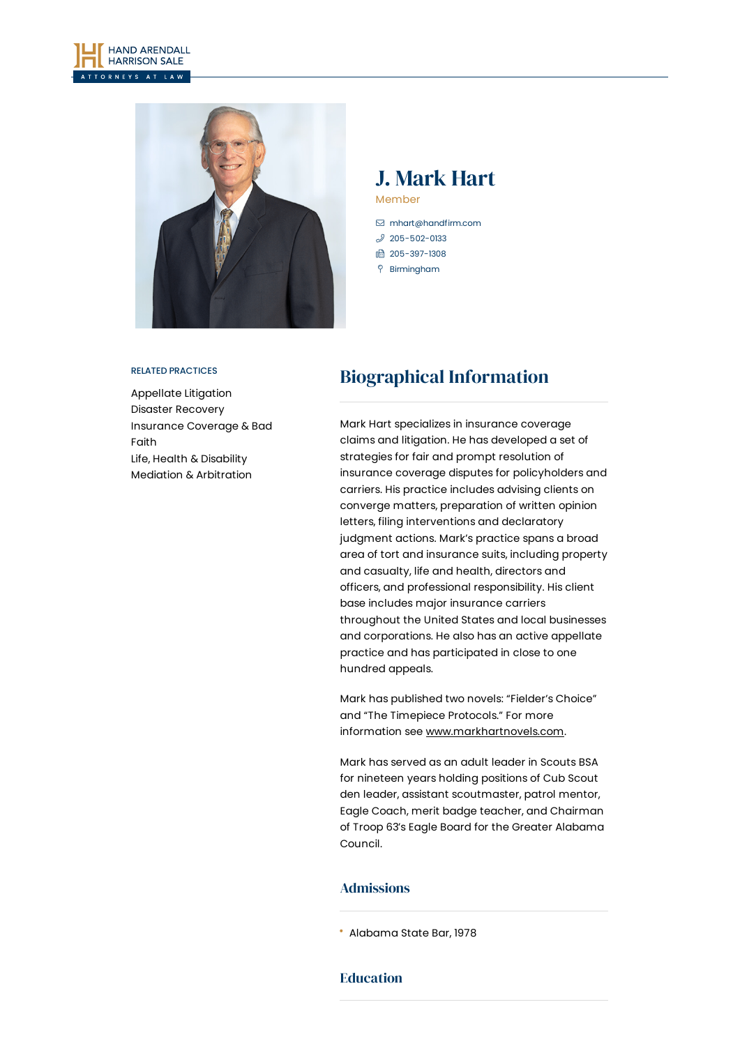



## J. Mark Hart Member

 [mhart@handfirm.com](mailto:mhart@handfirm.com)  $$205 - 502 - 0133$$ 1 205-397-1308

- Birmingham
- 

#### RELATED PRACTICES

[Appellate](https://www.handfirm.com/practices/litigation/appellate-litigation/) Litigation Disaster [Recovery](https://www.handfirm.com/practices/industries/disaster-recovery/) [Insurance](https://www.handfirm.com/practices/litigation/insurance-coverage-bad-faith/) Coverage & Bad Faith Life, Health & [Disability](https://www.handfirm.com/practices/litigation/life-health-disability/) Mediation & [Arbitration](https://www.handfirm.com/practices/litigation/mediation-arbitration/)

# Biographical Information

Mark Hart specializes in insurance coverage claims and litigation. He has developed a set of strategies for fair and prompt resolution of insurance coverage disputes for policyholders and carriers. His practice includes advising clients on converge matters, preparation of written opinion letters, filing interventions and declaratory judgment actions. Mark's practice spans a broad area of tort and insurance suits, including property and casualty, life and health, directors and officers, and professional responsibility. His client base includes major insurance carriers throughout the United States and local businesses and corporations. He also has an active appellate practice and has participated in close to one hundred appeals.

Mark has published two novels: "Fielder's Choice" and "The Timepiece Protocols." For more information see [www.markhartnovels.com](http://www.markhartnovels.com/).

Mark has served as an adult leader in Scouts BSA for nineteen years holding positions of Cub Scout den leader, assistant scoutmaster, patrol mentor, Eagle Coach, merit badge teacher, and Chairman of Troop 63's Eagle Board for the Greater Alabama Council.

## Admissions

Alabama State Bar, 1978

## Education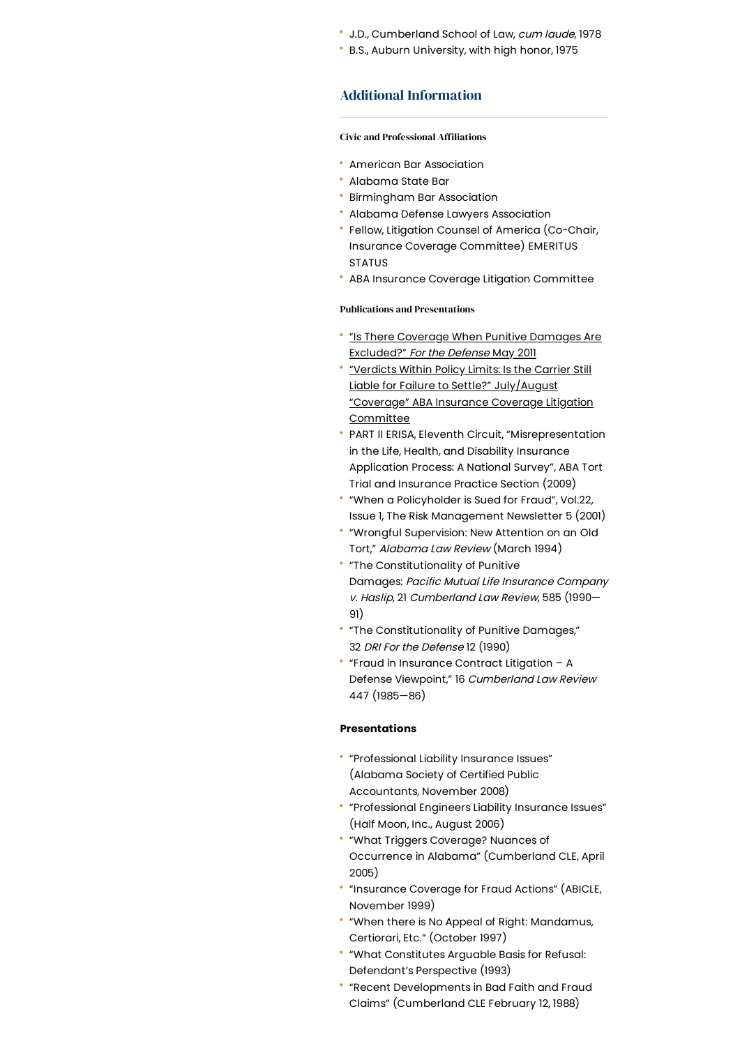- J.D., Cumberland School of Law, cum laude, 1978
- B.S., Auburn University, with high honor, 1975

### Additional Information

#### **Civic and Professional Affiliations**

- American Bar Association
- Alabama State Bar
- Birmingham Bar Association
- Alabama Defense Lawyers Association
- Fellow, Litigation Counsel of America (Co-Chair, Insurance Coverage Committee) EMERITUS STATUS
- ABA Insurance Coverage Litigation Committee

#### Publications and Presentations

- . "Is There Coverage When Punitive Damages Are [Excluded?"](https://www.handfirm.com/wp-content/uploads/2020/10/dri_article.pdf) For the Defense May 2011
- "Verdicts Within Policy Limits: Is the Carrier Still Liable for Failure to Settle?" [July/August](https://www.handfirm.com/wp-content/uploads/2020/10/coverage_article.pdf) "Coverage" ABA Insurance Coverage Litigation Committee
- PART II ERISA, Eleventh Circuit, "Misrepresentation in the Life, Health, and Disability Insurance Application Process: A National Survey", ABA Tort Trial and Insurance Practice Section (2009)
- "When a Policyholder is Sued for Fraud", Vol.22, Issue 1, The Risk Management Newsletter 5 (2001)
- "Wrongful Supervision: New Attention on an Old Tort," Alabama Law Review (March 1994)
- "The Constitutionality of Punitive Damages: Pacific Mutual Life Insurance Company v. Haslip, 21 Cumberland Law Review, 585 (1990— 91)
- "The Constitutionality of Punitive Damages," 32 DRI For the Defense 12 (1990)
- "Fraud in Insurance Contract Litigation A Defense Viewpoint," 16 Cumberland Law Review 447 (1985—86)

#### **Presentations**

- "Professional Liability Insurance Issues" (Alabama Society of Certified Public Accountants, November 2008)
- "Professional Engineers Liability Insurance Issues" (Half Moon, Inc., August 2006)
- "What Triggers Coverage? Nuances of Occurrence in Alabama" (Cumberland CLE, April 2005)
- "Insurance Coverage for Fraud Actions" (ABICLE, November 1999)
- "When there is No Appeal of Right: Mandamus, Certiorari, Etc." (October 1997)
- "What Constitutes Arguable Basis for Refusal: Defendant's Perspective (1993)
- "Recent Developments in Bad Faith and Fraud Claims" (Cumberland CLE February 12, 1988)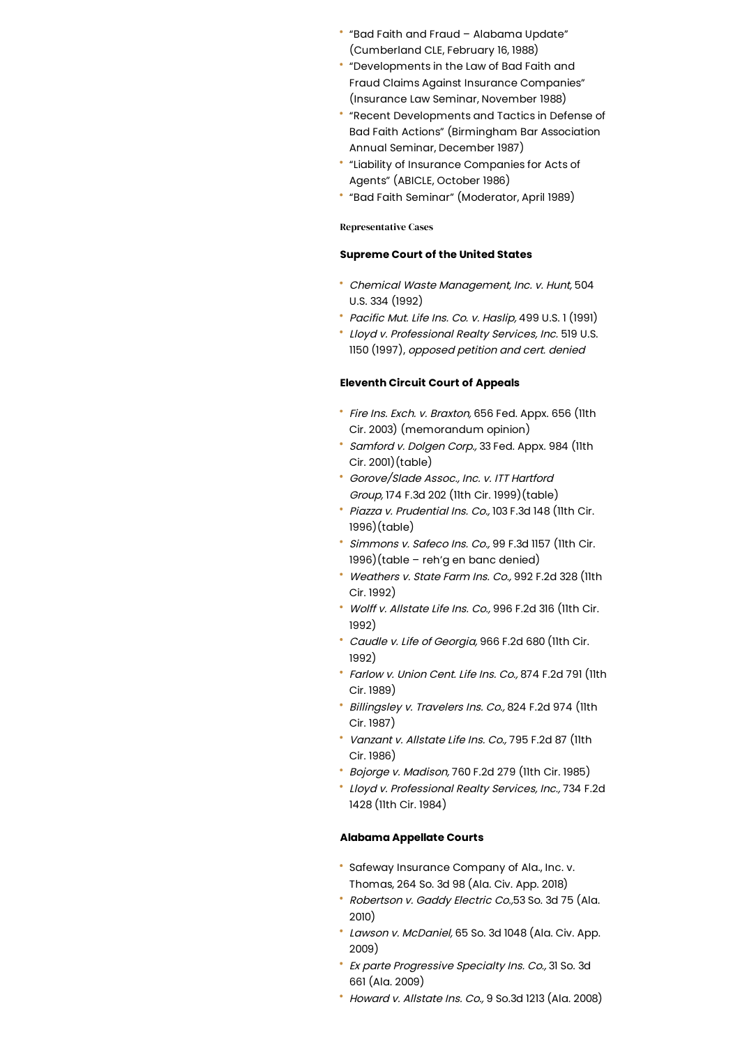- "Bad Faith and Fraud Alabama Update" (Cumberland CLE, February 16, 1988)
- "Developments in the Law of Bad Faith and Fraud Claims Against Insurance Companies" (Insurance Law Seminar, November 1988)
- "Recent Developments and Tactics in Defense of Bad Faith Actions" (Birmingham Bar Association Annual Seminar, December 1987)
- "Liability of Insurance Companies for Acts of Agents" (ABICLE, October 1986)
- "Bad Faith Seminar" (Moderator, April 1989)

#### Representative Cases

#### **Supreme Court of the United States**

- Chemical Waste Management, Inc. v. Hunt, 504 U.S. 334 (1992)
- Pacific Mut. Life Ins. Co. v. Haslip, 499 U.S. 1 (1991)
- Lloyd v. Professional Realty Services, Inc. 519 U.S. 1150 (1997), opposed petition and cert. denied

#### **Eleventh Circuit Court of Appeals**

- \* Fire Ins. Exch. v. Braxton, 656 Fed. Appx. 656 (llth Cir. 2003) (memorandum opinion)
- Samford v. Dolgen Corp., 33 Fed. Appx. 984 (11th Cir. 2001)(table)
- Gorove/Slade Assoc., Inc. v. ITT Hartford Group, 174 F.3d 202 (11th Cir. 1999)(table)
- Piazza v. Prudential Ins. Co., 103 F.3d 148 (11th Cir. 1996)(table)
- Simmons v. Safeco Ins. Co., 99 F.3d 1157 (11th Cir. 1996)(table – reh'g en banc denied)
- Weathers v. State Farm Ins. Co., 992 F.2d 328 (11th Cir. 1992)
- Wolff v. Allstate Life Ins. Co., 996 F.2d 316 (11th Cir. 1992)
- Caudle v. Life of Georgia, 966 F.2d 680 (11th Cir. 1992)
- Farlow v.Union Cent. Life Ins. Co., 874 F.2d 791 (11th Cir. 1989)
- Billingsley v. Travelers Ins. Co., 824 F.2d 974 (11th Cir. 1987)
- Vanzant v. Allstate Life Ins. Co., 795 F.2d 87 (11th Cir. 1986)
- Bojorge v. Madison, 760 F.2d 279 (11th Cir. 1985)
- Lloyd v. Professional Realty Services, Inc., 734 F.2d 1428 (11th Cir. 1984)

#### **Alabama Appellate Courts**

- Safeway Insurance Company of Ala., Inc. v. Thomas, 264 So. 3d 98 (Ala. Civ. App. 2018)
- Robertson v. Gaddy Electric Co.,53 So. 3d 75 (Ala. 2010)
- Lawson v. McDaniel, 65 So. 3d 1048 (Ala. Civ. App. 2009)
- Ex parte Progressive Specialty Ins. Co., 31 So. 3d 661 (Ala. 2009)
- Howard v. Allstate Ins. Co., 9 So.3d 1213 (Ala. 2008)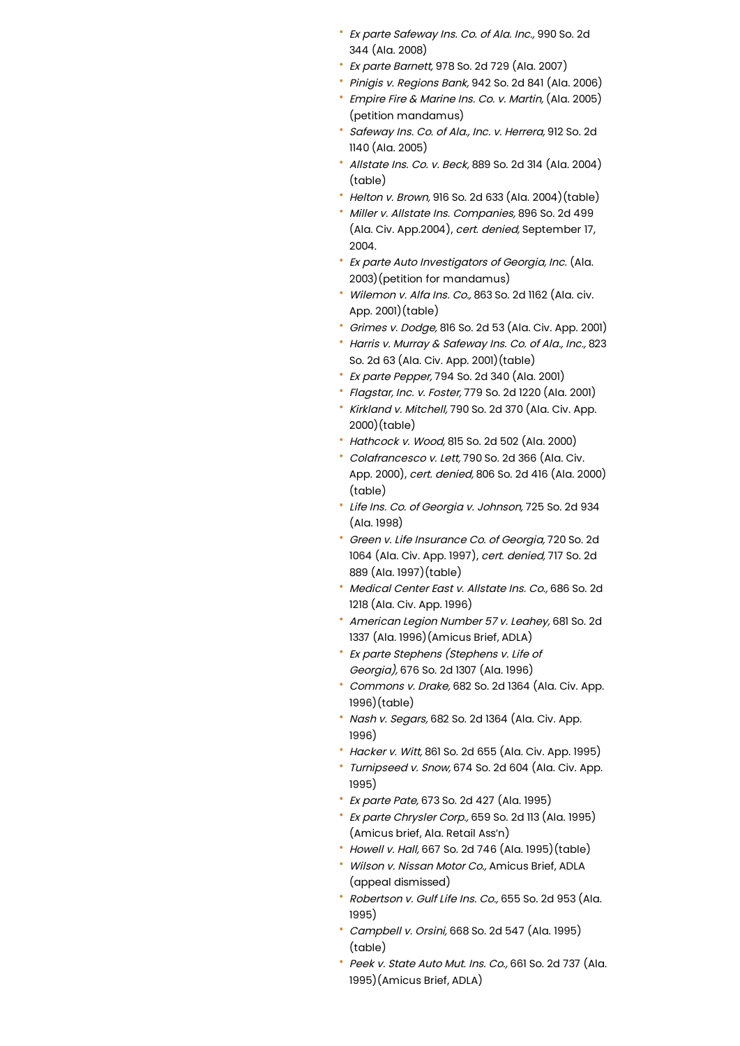- Ex parte Safeway Ins. Co. of Ala. Inc., 990 So. 2d 344 (Ala. 2008)
- Ex parte Barnett, 978 So. 2d 729 (Ala. 2007)
- Pinigis v. Regions Bank, 942 So. 2d 841 (Ala. 2006)
- Empire Fire & Marine Ins. Co. v. Martin, (Ala. 2005) (petition mandamus)
- Safeway Ins. Co. of Ala., Inc. v. Herrera, 912 So. 2d 1140 (Ala. 2005)
- $^{\circ}$  Allstate Ins. Co. v. Beck, 889 So. 2d 314 (Ala. 2004) (table)
- Helton v. Brown, 916 So. 2d 633 (Ala. 2004)(table)
- Miller v. Allstate Ins. Companies, 896 So. 2d 499 (Ala. Civ. App.2004), cert. denied, September 17, 2004.
- Ex parte Auto Investigators of Georgia, Inc. (Ala. 2003)(petition for mandamus)
- Wilemon v. Alfa Ins. Co., 863 So. 2d 1162 (Ala. civ. App. 2001)(table)
- Grimes v. Dodge, 816 So. 2d 53 (Ala. Civ. App. 2001)
- Harris v. Murray & Safeway Ins. Co. of Ala., Inc., 823 So. 2d 63 (Ala. Civ. App. 2001)(table)
- Ex parte Pepper, 794 So. 2d 340 (Ala. 2001)
- Flagstar, Inc. v. Foster, 779 So. 2d 1220 (Ala. 2001)
- \* Kirkland v. Mitchell, 790 So. 2d 370 (Ala. Civ. App. 2000)(table)
- Hathcock v. Wood, 815 So. 2d 502 (Ala. 2000)
- Colafrancesco v. Lett, 790 So. 2d 366 (Ala. Civ. App. 2000), cert. denied, 806 So. 2d 416 (Ala. 2000) (table)
- Life Ins. Co. of Georgia v. Johnson, 725 So. 2d 934 (Ala. 1998)
- Green v. Life Insurance Co. of Georgia, 720 So. 2d 1064 (Ala. Civ. App. 1997), cert. denied, 717 So. 2d 889 (Ala. 1997)(table)
- Medical Center East v. Allstate Ins. Co., 686 So. 2d 1218 (Ala. Civ. App. 1996)
- American Legion Number 57 v. Leahey, 681 So. 2d 1337 (Ala. 1996)(Amicus Brief, ADLA)
- Ex parte Stephens (Stephens v. Life of Georgia), 676 So. 2d 1307 (Ala. 1996)
- Commons v. Drake, 682 So. 2d 1364 (Ala. Civ. App. 1996)(table)
- Mash v. Segars, 682 So. 2d 1364 (Ala. Civ. App. 1996)
- Hacker v. Witt, 861 So. 2d 655 (Ala. Civ. App. 1995)
- Turnipseed v. Snow, 674 So. 2d 604 (Ala. Civ. App. 1995)
- \* Ex parte Pate, 673 So. 2d 427 (Ala. 1995)
- Ex parte Chrysler Corp., 659 So. 2d 113 (Ala. 1995) (Amicus brief, Ala. Retail Ass'n)
- Howell v. Hall, 667 So. 2d 746 (Ala. 1995)(table)
- Wilson v. Nissan Motor Co., Amicus Brief, ADLA (appeal dismissed)
- Robertson v. Gulf Life Ins. Co., 655 So. 2d 953 (Ala. 1995)
- Campbell v. Orsini, 668 So. 2d 547 (Ala. 1995) (table)
- Peek v. State Auto Mut. Ins. Co., 661 So. 2d 737 (Ala. 1995)(Amicus Brief, ADLA)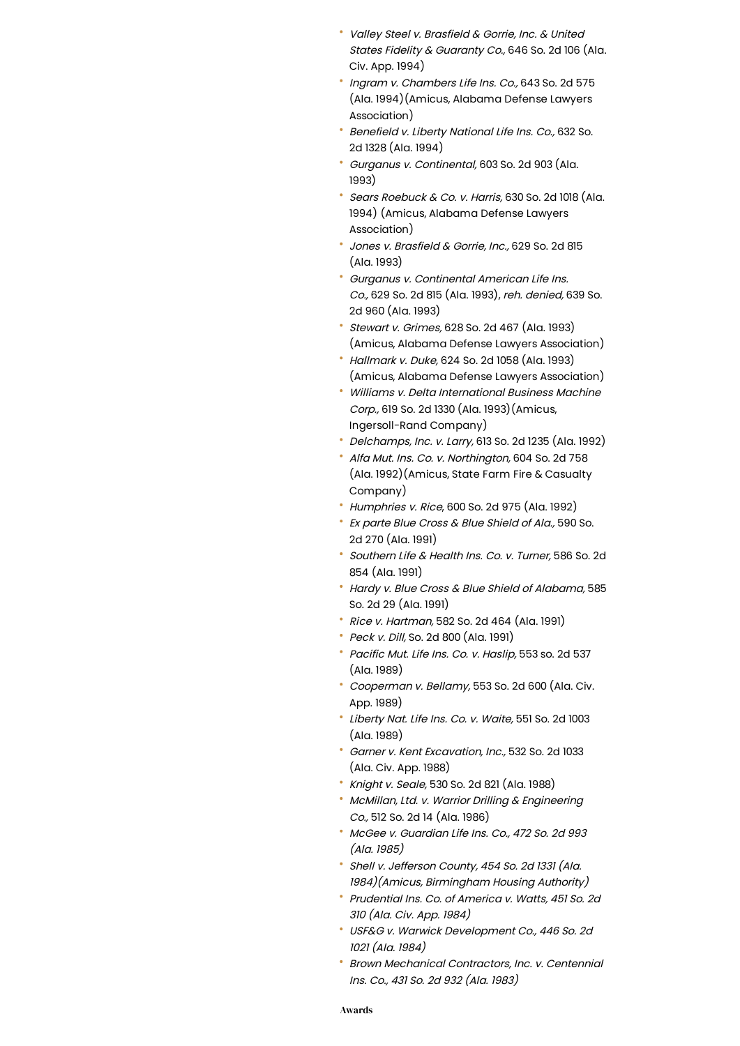- Valley Steel v. Brasfield & Gorrie, Inc. & United States Fidelity & Guaranty Co., 646 So. 2d 106 (Ala. Civ. App. 1994)
- Ingram v. Chambers Life Ins. Co., 643 So. 2d 575 (Ala. 1994)(Amicus, Alabama Defense Lawyers Association)
- Benefield v. Liberty National Life Ins. Co., 632 So. 2d 1328 (Ala. 1994)
- Gurganus v. Continental, 603 So. 2d 903 (Ala. 1993)
- Sears Roebuck & Co. v. Harris, 630 So. 2d 1018 (Ala. 1994) (Amicus, Alabama Defense Lawyers Association)
- Jones v. Brasfield & Gorrie, Inc., 629 So. 2d 815 (Ala. 1993)
- Gurganus v. Continental American Life Ins. Co., 629 So. 2d 815 (Ala. 1993), reh. denied, 639 So. 2d 960 (Ala. 1993)
- Stewart v. Grimes, 628 So. 2d 467 (Ala. 1993) (Amicus, Alabama Defense Lawyers Association)
- Hallmark v. Duke, 624 So. 2d 1058 (Ala. 1993) (Amicus, Alabama Defense Lawyers Association)
- Williams v. Delta International Business Machine Corp., 619 So. 2d 1330 (Ala. 1993)(Amicus, Ingersoll-Rand Company)
- Delchamps, Inc. v. Larry, 613 So. 2d 1235 (Ala. 1992)
- Alfa Mut. Ins. Co. v. Northington, 604 So. 2d 758 (Ala. 1992)(Amicus, State Farm Fire & Casualty Company)
- Humphries v. Rice, 600 So. 2d 975 (Ala. 1992)
- \* Ex parte Blue Cross & Blue Shield of Ala., 590 So. 2d 270 (Ala. 1991)
- Southern Life & Health Ins. Co. v. Turner, 586 So. 2d 854 (Ala. 1991)
- Hardy v. Blue Cross & Blue Shield of Alabama, 585 So. 2d 29 (Ala. 1991)
- Rice v. Hartman, 582 So. 2d 464 (Ala. 1991)
- \* Peck v. Dill, So. 2d 800 (Ala. 1991)
- Pacific Mut. Life Ins. Co. v. Haslip, 553 so. 2d 537 (Ala. 1989)
- Cooperman v. Bellamy, 553 So. 2d 600 (Ala. Civ. App. 1989)
- Liberty Nat. Life Ins. Co. v. Waite, 551 So. 2d 1003 (Ala. 1989)
- Garner v. Kent Excavation, Inc., 532 So. 2d 1033 (Ala. Civ. App. 1988)
- Knight v. Seale, 530 So. 2d 821 (Ala. 1988)
- **McMillan, Ltd. v. Warrior Drilling & Engineering** Co., 512 So. 2d 14 (Ala. 1986)
- McGee v. Guardian Life Ins. Co., 472 So. 2d 993 (Ala. 1985)
- Shell v. Jefferson County, <sup>454</sup> So. 2d <sup>1331</sup> (Ala. 1984)(Amicus, Birmingham Housing Authority)
- Prudential Ins. Co. of America v. Watts, 451 So. 2d <sup>310</sup> (Ala. Civ. App. 1984)
- USF&G v.Warwick Development Co., 446 So. 2d <sup>1021</sup> (Ala. 1984)
- Brown Mechanical Contractors, Inc. v. Centennial Ins. Co., <sup>431</sup> So. 2d <sup>932</sup> (Ala. 1983)